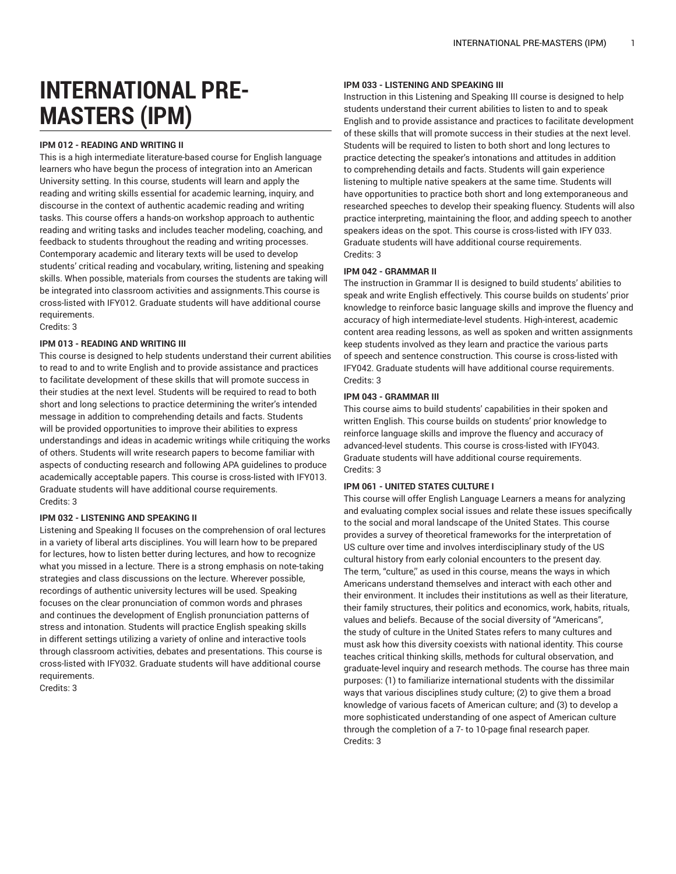# **INTERNATIONAL PRE-MASTERS (IPM)**

# **IPM 012 - READING AND WRITING II**

This is a high intermediate literature-based course for English language learners who have begun the process of integration into an American University setting. In this course, students will learn and apply the reading and writing skills essential for academic learning, inquiry, and discourse in the context of authentic academic reading and writing tasks. This course offers a hands-on workshop approach to authentic reading and writing tasks and includes teacher modeling, coaching, and feedback to students throughout the reading and writing processes. Contemporary academic and literary texts will be used to develop students' critical reading and vocabulary, writing, listening and speaking skills. When possible, materials from courses the students are taking will be integrated into classroom activities and assignments.This course is cross-listed with IFY012. Graduate students will have additional course requirements.

# Credits: 3

# **IPM 013 - READING AND WRITING III**

This course is designed to help students understand their current abilities to read to and to write English and to provide assistance and practices to facilitate development of these skills that will promote success in their studies at the next level. Students will be required to read to both short and long selections to practice determining the writer's intended message in addition to comprehending details and facts. Students will be provided opportunities to improve their abilities to express understandings and ideas in academic writings while critiquing the works of others. Students will write research papers to become familiar with aspects of conducting research and following APA guidelines to produce academically acceptable papers. This course is cross-listed with IFY013. Graduate students will have additional course requirements. Credits: 3

#### **IPM 032 - LISTENING AND SPEAKING II**

Listening and Speaking II focuses on the comprehension of oral lectures in a variety of liberal arts disciplines. You will learn how to be prepared for lectures, how to listen better during lectures, and how to recognize what you missed in a lecture. There is a strong emphasis on note-taking strategies and class discussions on the lecture. Wherever possible, recordings of authentic university lectures will be used. Speaking focuses on the clear pronunciation of common words and phrases and continues the development of English pronunciation patterns of stress and intonation. Students will practice English speaking skills in different settings utilizing a variety of online and interactive tools through classroom activities, debates and presentations. This course is cross-listed with IFY032. Graduate students will have additional course requirements.

Credits: 3

# **IPM 033 - LISTENING AND SPEAKING III**

Instruction in this Listening and Speaking III course is designed to help students understand their current abilities to listen to and to speak English and to provide assistance and practices to facilitate development of these skills that will promote success in their studies at the next level. Students will be required to listen to both short and long lectures to practice detecting the speaker's intonations and attitudes in addition to comprehending details and facts. Students will gain experience listening to multiple native speakers at the same time. Students will have opportunities to practice both short and long extemporaneous and researched speeches to develop their speaking fluency. Students will also practice interpreting, maintaining the floor, and adding speech to another speakers ideas on the spot. This course is cross-listed with IFY 033. Graduate students will have additional course requirements. Credits: 3

# **IPM 042 - GRAMMAR II**

The instruction in Grammar II is designed to build students' abilities to speak and write English effectively. This course builds on students' prior knowledge to reinforce basic language skills and improve the fluency and accuracy of high intermediate-level students. High-interest, academic content area reading lessons, as well as spoken and written assignments keep students involved as they learn and practice the various parts of speech and sentence construction. This course is cross-listed with IFY042. Graduate students will have additional course requirements. Credits: 3

#### **IPM 043 - GRAMMAR III**

This course aims to build students' capabilities in their spoken and written English. This course builds on students' prior knowledge to reinforce language skills and improve the fluency and accuracy of advanced-level students. This course is cross-listed with IFY043. Graduate students will have additional course requirements. Credits: 3

# **IPM 061 - UNITED STATES CULTURE I**

This course will offer English Language Learners a means for analyzing and evaluating complex social issues and relate these issues specifically to the social and moral landscape of the United States. This course provides a survey of theoretical frameworks for the interpretation of US culture over time and involves interdisciplinary study of the US cultural history from early colonial encounters to the present day. The term, "culture," as used in this course, means the ways in which Americans understand themselves and interact with each other and their environment. It includes their institutions as well as their literature, their family structures, their politics and economics, work, habits, rituals, values and beliefs. Because of the social diversity of "Americans", the study of culture in the United States refers to many cultures and must ask how this diversity coexists with national identity. This course teaches critical thinking skills, methods for cultural observation, and graduate-level inquiry and research methods. The course has three main purposes: (1) to familiarize international students with the dissimilar ways that various disciplines study culture; (2) to give them a broad knowledge of various facets of American culture; and (3) to develop a more sophisticated understanding of one aspect of American culture through the completion of a 7- to 10-page final research paper. Credits: 3